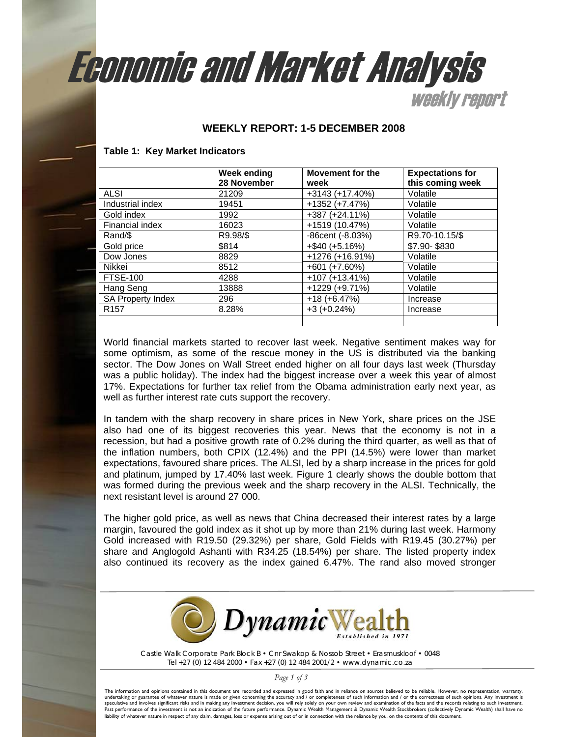# Eeonomic and Market Analysis

**Weekly report** 

## **WEEKLY REPORT: 1-5 DECEMBER 2008**

#### **Table 1: Key Market Indicators**

|                          | <b>Week ending</b><br>28 November | Movement for the<br>week | <b>Expectations for</b><br>this coming week |
|--------------------------|-----------------------------------|--------------------------|---------------------------------------------|
| <b>ALSI</b>              | 21209                             | $+3143 (+17.40%)$        | Volatile                                    |
| Industrial index         | 19451                             | $+1352 (+7.47%)$         | Volatile                                    |
| Gold index               | 1992                              | $+387 (+24.11%)$         | Volatile                                    |
| Financial index          | 16023                             | +1519 (10.47%)           | Volatile                                    |
| Rand/\$                  | R9.98/\$                          | $-86$ cent $(-8.03%)$    | R9.70-10.15/\$                              |
| Gold price               | \$814                             | $+$ \$40 (+5.16%)        | \$7.90-\$830                                |
| Dow Jones                | 8829                              | $+1276 (+16.91%)$        | Volatile                                    |
| Nikkei                   | 8512                              | $+601 (+7.60%)$          | Volatile                                    |
| <b>FTSE-100</b>          | 4288                              | $+107 (+13.41%)$         | Volatile                                    |
| Hang Seng                | 13888                             | $+1229 (+9.71%)$         | Volatile                                    |
| <b>SA Property Index</b> | 296                               | $+18(+6.47%)$            | Increase                                    |
| R <sub>157</sub>         | 8.28%                             | $+3 (+0.24%)$            | Increase                                    |
|                          |                                   |                          |                                             |

World financial markets started to recover last week. Negative sentiment makes way for some optimism, as some of the rescue money in the US is distributed via the banking sector. The Dow Jones on Wall Street ended higher on all four days last week (Thursday was a public holiday). The index had the biggest increase over a week this year of almost 17%. Expectations for further tax relief from the Obama administration early next year, as well as further interest rate cuts support the recovery.

In tandem with the sharp recovery in share prices in New York, share prices on the JSE also had one of its biggest recoveries this year. News that the economy is not in a recession, but had a positive growth rate of 0.2% during the third quarter, as well as that of the inflation numbers, both CPIX (12.4%) and the PPI (14.5%) were lower than market expectations, favoured share prices. The ALSI, led by a sharp increase in the prices for gold and platinum, jumped by 17.40% last week. Figure 1 clearly shows the double bottom that was formed during the previous week and the sharp recovery in the ALSI. Technically, the next resistant level is around 27 000.

The higher gold price, as well as news that China decreased their interest rates by a large margin, favoured the gold index as it shot up by more than 21% during last week. Harmony Gold increased with R19.50 (29.32%) per share, Gold Fields with R19.45 (30.27%) per share and Anglogold Ashanti with R34.25 (18.54%) per share. The listed property index also continued its recovery as the index gained 6.47%. The rand also moved stronger



*Castle Walk Corporate Park Block B • Cnr Swakop & Nossob Street • Erasmuskloof • 0048 Tel +27 (0) 12 484 2000 • Fax +27 (0) 12 484 2001/2 • www.dynamic.co.za* 

 *Page 1 of 3* 

The information and opinions contained in this document are recorded and expressed in good faith and in reliance on sources believed to be reliable. However, no representation, warranty,<br>undertaking or guarantee of whateve Past performance of the investment is not an indication of the future performance. Dynamic Wealth Management & Dynamic Wealth Stockbrokers (collectively Dynamic Wealth) shall have no liability of whatever nature in respect of any claim, damages, loss or expense arising out of or in connection with the reliance by you, on the contents of this document.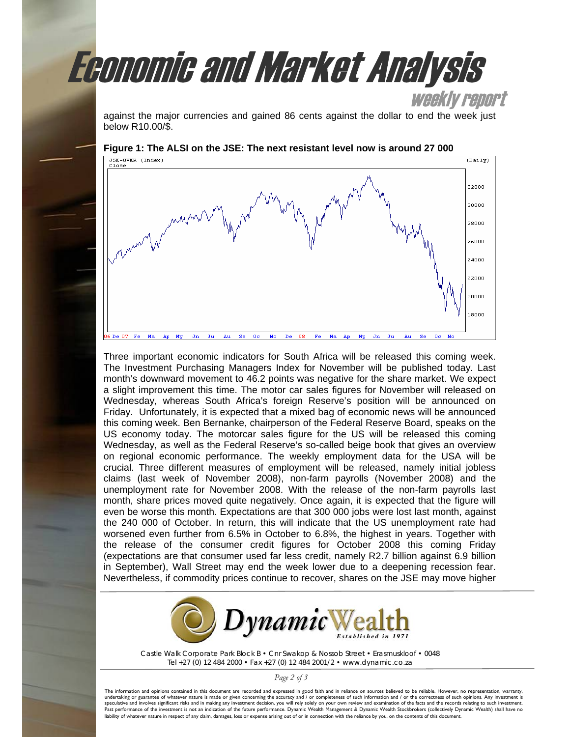

against the major currencies and gained 86 cents against the dollar to end the week just below R10.00/\$.



Three important economic indicators for South Africa will be released this coming week. The Investment Purchasing Managers Index for November will be published today. Last month's downward movement to 46.2 points was negative for the share market. We expect a slight improvement this time. The motor car sales figures for November will released on Wednesday, whereas South Africa's foreign Reserve's position will be announced on Friday. Unfortunately, it is expected that a mixed bag of economic news will be announced this coming week. Ben Bernanke, chairperson of the Federal Reserve Board, speaks on the US economy today. The motorcar sales figure for the US will be released this coming Wednesday, as well as the Federal Reserve's so-called beige book that gives an overview on regional economic performance. The weekly employment data for the USA will be crucial. Three different measures of employment will be released, namely initial jobless claims (last week of November 2008), non-farm payrolls (November 2008) and the unemployment rate for November 2008. With the release of the non-farm payrolls last month, share prices moved quite negatively. Once again, it is expected that the figure will even be worse this month. Expectations are that 300 000 jobs were lost last month, against the 240 000 of October. In return, this will indicate that the US unemployment rate had worsened even further from 6.5% in October to 6.8%, the highest in years. Together with the release of the consumer credit figures for October 2008 this coming Friday (expectations are that consumer used far less credit, namely R2.7 billion against 6.9 billion in September), Wall Street may end the week lower due to a deepening recession fear. Nevertheless, if commodity prices continue to recover, shares on the JSE may move higher



*Castle Walk Corporate Park Block B • Cnr Swakop & Nossob Street • Erasmuskloof • 0048 Tel +27 (0) 12 484 2000 • Fax +27 (0) 12 484 2001/2 • www.dynamic.co.za* 

 *Page 2 of 3* 

The information and opinions contained in this document are recorded and expressed in good faith and in reliance on sources believed to be reliable. However, no representation, warranty,<br>undertaking or guarantee of whateve speculative and involves significant risks and in making any investment decision, you will rely solely on your own review and examination of the facts and the records relating to such investment. Past performance of the investment is not an indication of the future performance. Dynamic Wealth Management & Dynamic Wealth Stockbrokers (collectively Dynamic Wealth) shall have no liability of whatever nature in respect of any claim, damages, loss or expense arising out of or in connection with the reliance by you, on the contents of this document.